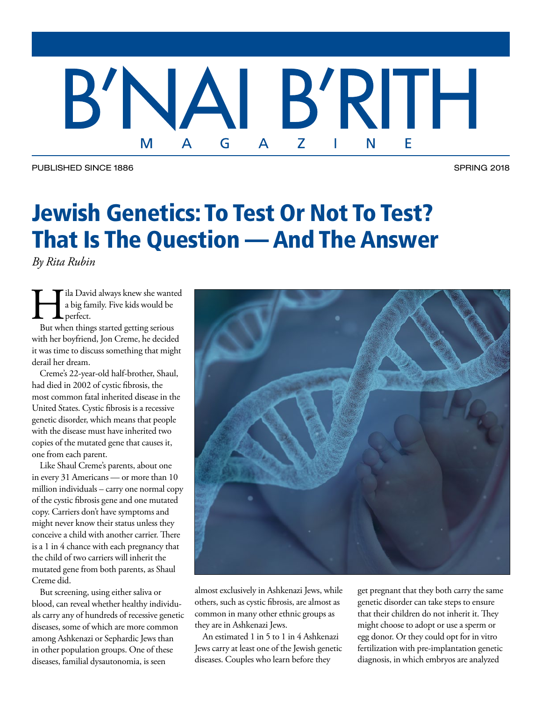### B'N, BRIH E M G  $\blacktriangle$ Z N L

PUBLISHED SINCE 1886 SPRING 2018

# Jewish Genetics: To Test Or Not To Test? That Is The Question — And The Answer

*By Rita Rubin*

II a David always knew she wanted<br>
a big family. Five kids would be<br>
But when things started getting serious a big family. Five kids would be perfect.

with her boyfriend, Jon Creme, he decided it was time to discuss something that might derail her dream.

Creme's 22-year-old half-brother, Shaul, had died in 2002 of cystic fibrosis, the most common fatal inherited disease in the United States. Cystic fibrosis is a recessive genetic disorder, which means that people with the disease must have inherited two copies of the mutated gene that causes it, one from each parent.

Like Shaul Creme's parents, about one in every 31 Americans — or more than 10 million individuals – carry one normal copy of the cystic fibrosis gene and one mutated copy. Carriers don't have symptoms and might never know their status unless they conceive a child with another carrier. There is a 1 in 4 chance with each pregnancy that the child of two carriers will inherit the mutated gene from both parents, as Shaul Creme did.

But screening, using either saliva or blood, can reveal whether healthy individuals carry any of hundreds of recessive genetic diseases, some of which are more common among Ashkenazi or Sephardic Jews than in other population groups. One of these diseases, familial dysautonomia, is seen



almost exclusively in Ashkenazi Jews, while others, such as cystic fibrosis, are almost as common in many other ethnic groups as they are in Ashkenazi Jews.

An estimated 1 in 5 to 1 in 4 Ashkenazi Jews carry at least one of the Jewish genetic diseases. Couples who learn before they

get pregnant that they both carry the same genetic disorder can take steps to ensure that their children do not inherit it. They might choose to adopt or use a sperm or egg donor. Or they could opt for in vitro fertilization with pre-implantation genetic diagnosis, in which embryos are analyzed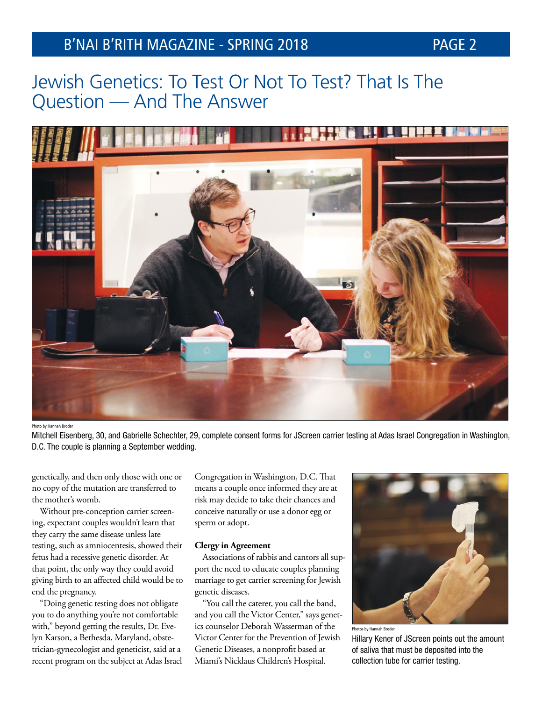

### Photo by Hannah Brode

Mitchell Eisenberg, 30, and Gabrielle Schechter, 29, complete consent forms for JScreen carrier testing at Adas Israel Congregation in Washington, D.C. The couple is planning a September wedding.

genetically, and then only those with one or no copy of the mutation are transferred to the mother's womb.

Without pre-conception carrier screening, expectant couples wouldn't learn that they carry the same disease unless late testing, such as amniocentesis, showed their fetus had a recessive genetic disorder. At that point, the only way they could avoid giving birth to an affected child would be to end the pregnancy.

"Doing genetic testing does not obligate you to do anything you're not comfortable with," beyond getting the results, Dr. Evelyn Karson, a Bethesda, Maryland, obstetrician-gynecologist and geneticist, said at a recent program on the subject at Adas Israel Congregation in Washington, D.C. That means a couple once informed they are at risk may decide to take their chances and conceive naturally or use a donor egg or sperm or adopt.

### **Clergy in Agreement**

Associations of rabbis and cantors all support the need to educate couples planning marriage to get carrier screening for Jewish genetic diseases.

"You call the caterer, you call the band, and you call the Victor Center," says genetics counselor Deborah Wasserman of the Victor Center for the Prevention of Jewish Genetic Diseases, a nonprofit based at Miami's Nicklaus Children's Hospital.



Photos by Hannah Broder

Hillary Kener of JScreen points out the amount of saliva that must be deposited into the collection tube for carrier testing.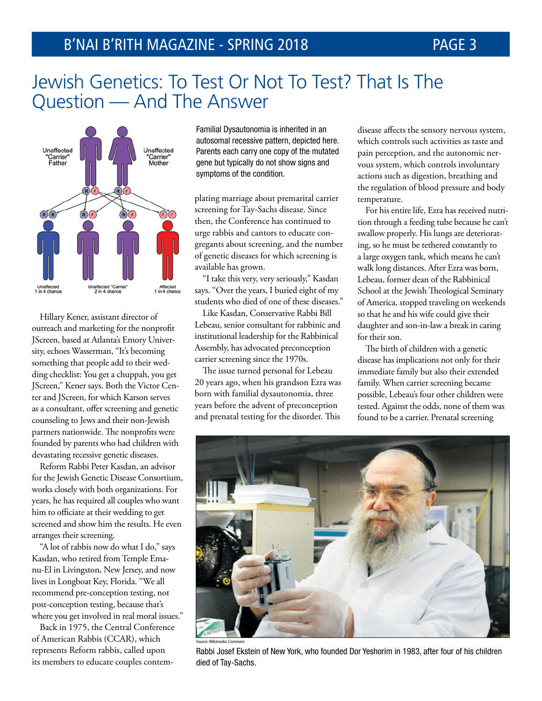

Hillary Kener, assistant director of outreach and marketing for the nonprofit JScreen, based at Atlanta's Emory University, echoes Wasserman, "It's becoming something that people add to their wedding checklist: You get a chuppah, you get JScreen," Kener says. Both the Victor Center and JScreen, for which Karson serves as a consultant, offer screening and genetic counseling to Jews and their non-Jewish partners nationwide. The nonprofits were founded by parents who had children with devastating recessive genetic diseases.

Reform Rabbi Peter Kasdan, an advisor for the Jewish Genetic Disease Consortium, works closely with both organizations. For years, he has required all couples who want him to officiate at their wedding to get screened and show him the results. He even arranges their screening.

"A lot of rabbis now do what I do," says Kasdan, who retired from Temple Emanu-El in Livingston, New Jersey, and now lives in Longboat Key, Florida. "We all recommend pre-conception testing, not post-conception testing, because that's where you get involved in real moral issues."

Back in 1975, the Central Conference of American Rabbis (CCAR), which represents Reform rabbis, called upon its members to educate couples contem-

Familial Dysautonomia is inherited in an autosomal recessive pattern, depicted here. Parents each carry one copy of the mutated gene but typically do not show signs and symptoms of the condition.

plating marriage about premarital carrier screening for Tay-Sachs disease. Since then, the Conference has continued to urge rabbis and cantors to educate congregants about screening, and the number of genetic diseases for which screening is available has grown.

"I take this very, very seriously," Kasdan says. "Over the years, I buried eight of my students who died of one of these diseases."

Like Kasdan, Conservative Rabbi Bill Lebeau, senior consultant for rabbinic and institutional leadership for the Rabbinical Assembly, has advocated preconception carrier screening since the 1970s.

The issue turned personal for Lebeau 20 years ago, when his grandson Ezra was born with familial dysautonomia, three years before the advent of preconception and prenatal testing for the disorder. This

disease affects the sensory nervous system, which controls such activities as taste and pain perception, and the autonomic nervous system, which controls involuntary actions such as digestion, breathing and the regulation of blood pressure and body temperature.

For his entire life, Ezra has received nutrition through a feeding tube because he can't swallow properly. His lungs are deteriorating, so he must be tethered constantly to a large oxygen tank, which means he can't walk long distances. After Ezra was born, Lebeau, former dean of the Rabbinical School at the Jewish Theological Seminary of America, stopped traveling on weekends so that he and his wife could give their daughter and son-in-law a break in caring for their son.

The birth of children with a genetic disease has implications not only for their immediate family but also their extended family. When carrier screening became possible, Lebeau's four other children were tested. Against the odds, none of them was found to be a carrier. Prenatal screening



Rabbi Josef Ekstein of New York, who founded Dor Yeshorim in 1983, after four of his children died of Tay-Sachs.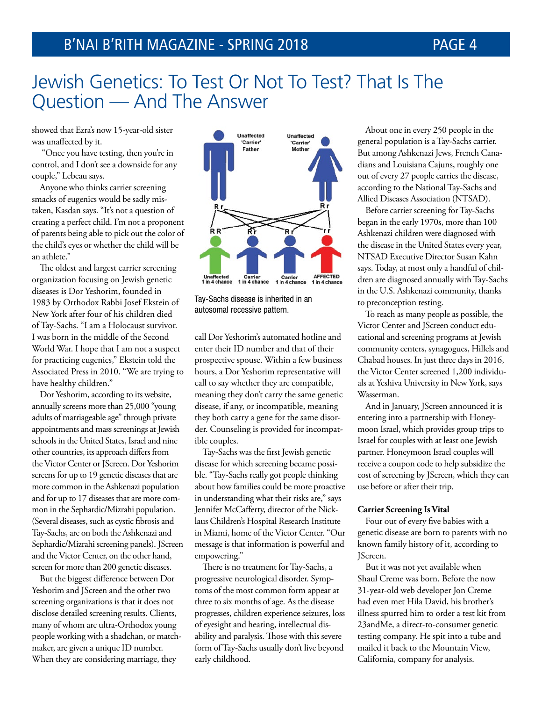showed that Ezra's now 15-year-old sister was unaffected by it.

 "Once you have testing, then you're in control, and I don't see a downside for any couple," Lebeau says.

Anyone who thinks carrier screening smacks of eugenics would be sadly mistaken, Kasdan says. "It's not a question of creating a perfect child. I'm not a proponent of parents being able to pick out the color of the child's eyes or whether the child will be an athlete."

The oldest and largest carrier screening organization focusing on Jewish genetic diseases is Dor Yeshorim, founded in 1983 by Orthodox Rabbi Josef Ekstein of New York after four of his children died of Tay-Sachs. "I am a Holocaust survivor. I was born in the middle of the Second World War. I hope that I am not a suspect for practicing eugenics," Ekstein told the Associated Press in 2010. "We are trying to have healthy children."

Dor Yeshorim, according to its website, annually screens more than 25,000 "young adults of marriageable age" through private appointments and mass screenings at Jewish schools in the United States, Israel and nine other countries, its approach differs from the Victor Center or JScreen. Dor Yeshorim screens for up to 19 genetic diseases that are more common in the Ashkenazi population and for up to 17 diseases that are more common in the Sephardic/Mizrahi population. (Several diseases, such as cystic fibrosis and Tay-Sachs, are on both the Ashkenazi and Sephardic/Mizrahi screening panels). JScreen and the Victor Center, on the other hand, screen for more than 200 genetic diseases.

But the biggest difference between Dor Yeshorim and JScreen and the other two screening organizations is that it does not disclose detailed screening results. Clients, many of whom are ultra-Orthodox young people working with a shadchan, or matchmaker, are given a unique ID number. When they are considering marriage, they



Tay-Sachs disease is inherited in an autosomal recessive pattern.

call Dor Yeshorim's automated hotline and enter their ID number and that of their prospective spouse. Within a few business hours, a Dor Yeshorim representative will call to say whether they are compatible, meaning they don't carry the same genetic disease, if any, or incompatible, meaning they both carry a gene for the same disorder. Counseling is provided for incompatible couples.

Tay-Sachs was the first Jewish genetic disease for which screening became possible. "Tay-Sachs really got people thinking about how families could be more proactive in understanding what their risks are," says Jennifer McCafferty, director of the Nicklaus Children's Hospital Research Institute in Miami, home of the Victor Center. "Our message is that information is powerful and empowering."

There is no treatment for Tay-Sachs, a progressive neurological disorder. Symptoms of the most common form appear at three to six months of age. As the disease progresses, children experience seizures, loss of eyesight and hearing, intellectual disability and paralysis. Those with this severe form of Tay-Sachs usually don't live beyond early childhood.

About one in every 250 people in the general population is a Tay-Sachs carrier. But among Ashkenazi Jews, French Canadians and Louisiana Cajuns, roughly one out of every 27 people carries the disease, according to the National Tay-Sachs and Allied Diseases Association (NTSAD).

Before carrier screening for Tay-Sachs began in the early 1970s, more than 100 Ashkenazi children were diagnosed with the disease in the United States every year, NTSAD Executive Director Susan Kahn says. Today, at most only a handful of children are diagnosed annually with Tay-Sachs in the U.S. Ashkenazi community, thanks to preconception testing.

To reach as many people as possible, the Victor Center and JScreen conduct educational and screening programs at Jewish community centers, synagogues, Hillels and Chabad houses. In just three days in 2016, the Victor Center screened 1,200 individuals at Yeshiva University in New York, says Wasserman.

And in January, JScreen announced it is entering into a partnership with Honeymoon Israel, which provides group trips to Israel for couples with at least one Jewish partner. Honeymoon Israel couples will receive a coupon code to help subsidize the cost of screening by JScreen, which they can use before or after their trip.

### **Carrier Screening Is Vital**

Four out of every five babies with a genetic disease are born to parents with no known family history of it, according to JScreen.

But it was not yet available when Shaul Creme was born. Before the now 31-year-old web developer Jon Creme had even met Hila David, his brother's illness spurred him to order a test kit from 23andMe, a direct-to-consumer genetic testing company. He spit into a tube and mailed it back to the Mountain View, California, company for analysis.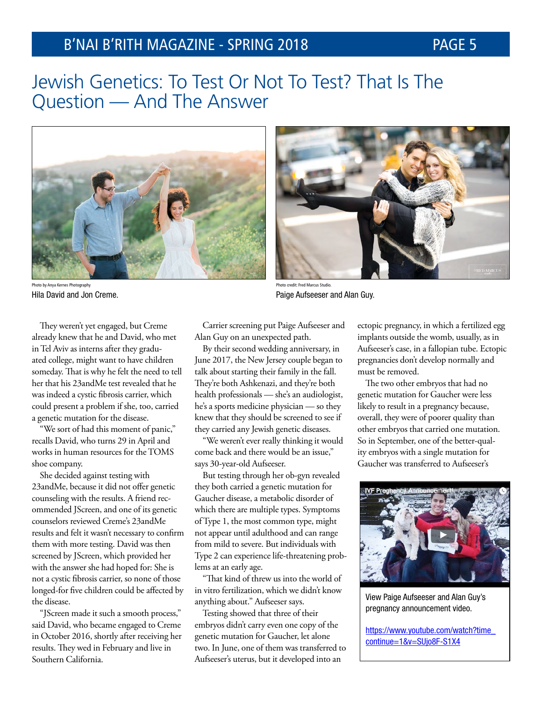## B'NAI B'RITH MAGAZINE - SPRING 2018 PAGE 5

## Jewish Genetics: To Test Or Not To Test? That Is The Question — And The Answer



Photo by Anya Kernes Photography Hila David and Jon Creme.

They weren't yet engaged, but Creme already knew that he and David, who met in Tel Aviv as interns after they graduated college, might want to have children someday. That is why he felt the need to tell her that his 23andMe test revealed that he was indeed a cystic fibrosis carrier, which could present a problem if she, too, carried a genetic mutation for the disease.

"We sort of had this moment of panic," recalls David, who turns 29 in April and works in human resources for the TOMS shoe company.

She decided against testing with 23andMe, because it did not offer genetic counseling with the results. A friend recommended JScreen, and one of its genetic counselors reviewed Creme's 23andMe results and felt it wasn't necessary to confirm them with more testing. David was then screened by JScreen, which provided her with the answer she had hoped for: She is not a cystic fibrosis carrier, so none of those longed-for five children could be affected by the disease.

"JScreen made it such a smooth process," said David, who became engaged to Creme in October 2016, shortly after receiving her results. They wed in February and live in Southern California.

Alan Guy on an unexpected path.

By their second wedding anniversary, in June 2017, the New Jersey couple began to talk about starting their family in the fall. They're both Ashkenazi, and they're both health professionals — she's an audiologist, he's a sports medicine physician — so they knew that they should be screened to see if they carried any Jewish genetic diseases.

"We weren't ever really thinking it would come back and there would be an issue," says 30-year-old Aufseeser.

But testing through her ob-gyn revealed they both carried a genetic mutation for Gaucher disease, a metabolic disorder of which there are multiple types. Symptoms of Type 1, the most common type, might not appear until adulthood and can range from mild to severe. But individuals with Type 2 can experience life-threatening problems at an early age.

"That kind of threw us into the world of in vitro fertilization, which we didn't know anything about." Aufseeser says.

Testing showed that three of their embryos didn't carry even one copy of the genetic mutation for Gaucher, let alone two. In June, one of them was transferred to Aufseeser's uterus, but it developed into an

ectopic pregnancy, in which a fertilized egg implants outside the womb, usually, as in Aufseeser's case, in a fallopian tube. Ectopic pregnancies don't develop normally and must be removed.

The two other embryos that had no genetic mutation for Gaucher were less likely to result in a pregnancy because, overall, they were of poorer quality than other embryos that carried one mutation. So in September, one of the better-quality embryos with a single mutation for Gaucher was transferred to Aufseeser's



View Paige Aufseeser and Alan Guy's pregnancy announcement video.

[https://www.youtube.com/watch?time\\_](https://www.youtube.com/watch?time_continue=1&v=SUjo8F-S1X4) [continue=1&v=SUjo8F-S1X4](https://www.youtube.com/watch?time_continue=1&v=SUjo8F-S1X4)

## Carrier screening put Paige Aufseeser and

Photo credit: Fred Marcus Studio.

Paige Aufseeser and Alan Guy.